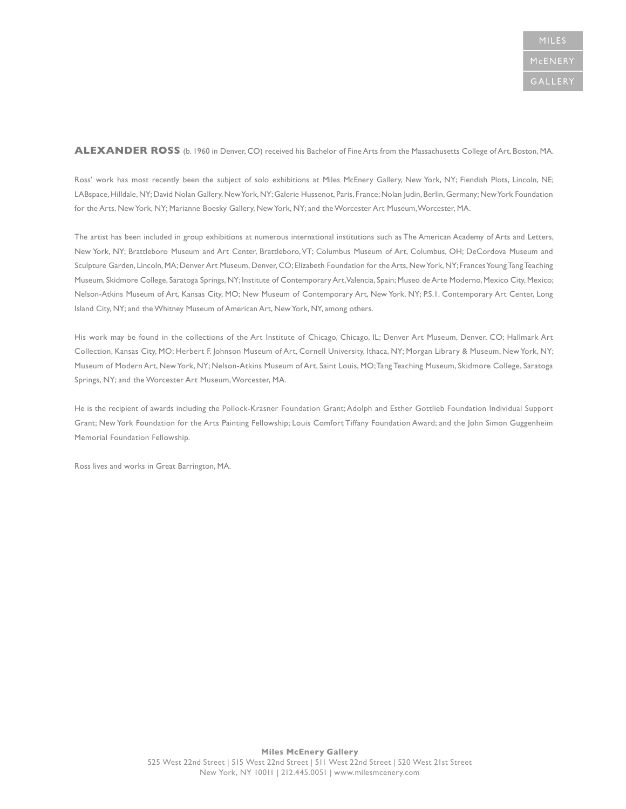#### **ALEXANDER ROSS** (b. 1960 in Denver, CO) received his Bachelor of Fine Arts from the Massachusetts College of Art, Boston, MA.

Ross' work has most recently been the subject of solo exhibitions at Miles McEnery Gallery, New York, NY; Fiendish Plots, Lincoln, NE; LABspace, Hilldale, NY; David Nolan Gallery, New York, NY; Galerie Hussenot, Paris, France; Nolan Judin, Berlin, Germany; New York Foundation for the Arts, New York, NY; Marianne Boesky Gallery, New York, NY; and the Worcester Art Museum, Worcester, MA.

The artist has been included in group exhibitions at numerous international institutions such as The American Academy of Arts and Letters, New York, NY; Brattleboro Museum and Art Center, Brattleboro, VT; Columbus Museum of Art, Columbus, OH; DeCordova Museum and Sculpture Garden, Lincoln, MA; Denver Art Museum, Denver, CO; Elizabeth Foundation for the Arts, New York, NY; Frances Young Tang Teaching Museum, Skidmore College, Saratoga Springs, NY; Institute of Contemporary Art, Valencia, Spain; Museo de Arte Moderno, Mexico City, Mexico; Nelson-Atkins Museum of Art, Kansas City, MO; New Museum of Contemporary Art, New York, NY; P.S.1. Contemporary Art Center, Long Island City, NY; and the Whitney Museum of American Art, New York, NY, among others.

His work may be found in the collections of the Art Institute of Chicago, Chicago, IL; Denver Art Museum, Denver, CO; Hallmark Art Collection, Kansas City, MO; Herbert F. Johnson Museum of Art, Cornell University, Ithaca, NY; Morgan Library & Museum, New York, NY; Museum of Modern Art, New York, NY; Nelson-Atkins Museum of Art, Saint Louis, MO; Tang Teaching Museum, Skidmore College, Saratoga Springs, NY; and the Worcester Art Museum, Worcester, MA.

He is the recipient of awards including the Pollock-Krasner Foundation Grant; Adolph and Esther Gottlieb Foundation Individual Support Grant; New York Foundation for the Arts Painting Fellowship; Louis Comfort Tiffany Foundation Award; and the John Simon Guggenheim Memorial Foundation Fellowship.

Ross lives and works in Great Barrington, MA.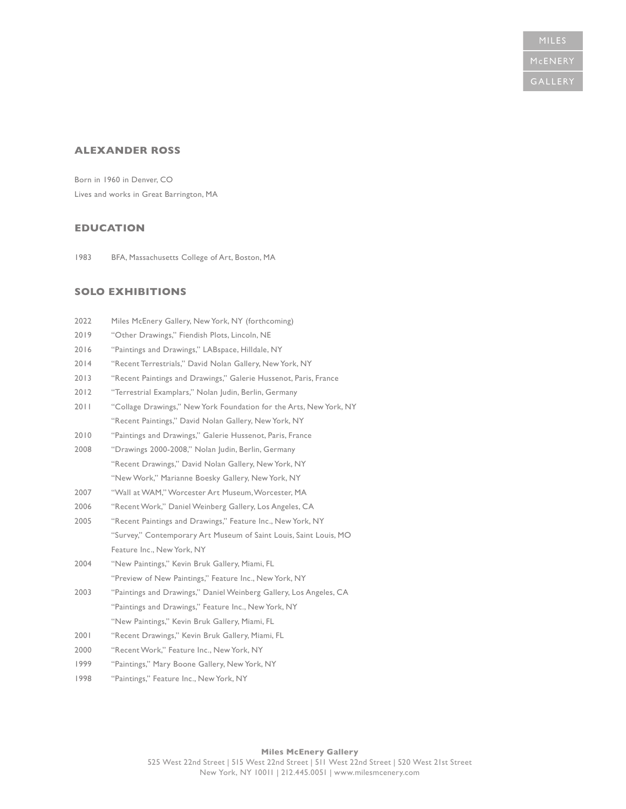# **ALEXANDER ROSS**

Born in 1960 in Denver, CO Lives and works in Great Barrington, MA

# **EDUCATION**

1983 BFA, Massachusetts College of Art, Boston, MA

# **SOLO EXHIBITIONS**

| 2022 | Miles McEnery Gallery, New York, NY (forthcoming)                  |
|------|--------------------------------------------------------------------|
| 2019 | "Other Drawings," Fiendish Plots, Lincoln, NE                      |
| 2016 | "Paintings and Drawings," LABspace, Hilldale, NY                   |
| 2014 | "Recent Terrestrials," David Nolan Gallery, New York, NY           |
| 2013 | "Recent Paintings and Drawings," Galerie Hussenot, Paris, France   |
| 2012 | "Terrestrial Examplars," Nolan Judin, Berlin, Germany              |
| 2011 | "Collage Drawings," New York Foundation for the Arts, New York, NY |
|      | "Recent Paintings," David Nolan Gallery, New York, NY              |
| 2010 | "Paintings and Drawings," Galerie Hussenot, Paris, France          |
| 2008 | "Drawings 2000-2008," Nolan Judin, Berlin, Germany                 |
|      | "Recent Drawings," David Nolan Gallery, New York, NY               |
|      | "New Work," Marianne Boesky Gallery, New York, NY                  |
| 2007 | "Wall at WAM," Worcester Art Museum, Worcester, MA                 |
| 2006 | "Recent Work," Daniel Weinberg Gallery, Los Angeles, CA            |
| 2005 | "Recent Paintings and Drawings," Feature Inc., New York, NY        |
|      | "Survey," Contemporary Art Museum of Saint Louis, Saint Louis, MO  |
|      | Feature Inc., New York, NY                                         |
| 2004 | "New Paintings," Kevin Bruk Gallery, Miami, FL                     |
|      | "Preview of New Paintings," Feature Inc., New York, NY             |
| 2003 | "Paintings and Drawings," Daniel Weinberg Gallery, Los Angeles, CA |
|      | "Paintings and Drawings," Feature Inc., New York, NY               |
|      | "New Paintings," Kevin Bruk Gallery, Miami, FL                     |
| 2001 | "Recent Drawings," Kevin Bruk Gallery, Miami, FL                   |
| 2000 | "Recent Work," Feature Inc., New York, NY                          |
| 1999 | "Paintings," Mary Boone Gallery, New York, NY                      |
| 1998 | "Paintings," Feature Inc., New York, NY                            |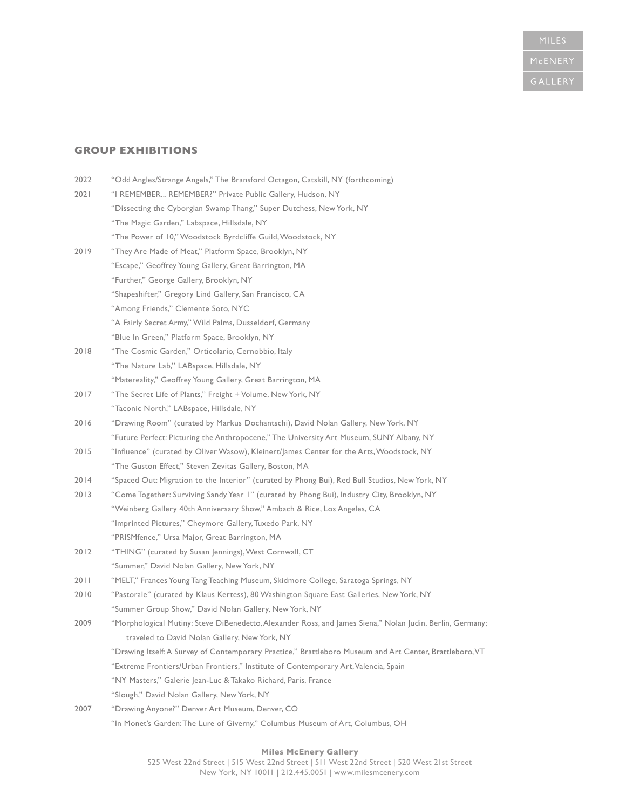# **MILES**

# **GROUP EXHIBITIONS**

| 2022 | "Odd Angles/Strange Angels," The Bransford Octagon, Catskill, NY (forthcoming)                            |
|------|-----------------------------------------------------------------------------------------------------------|
| 2021 | "I REMEMBER REMEMBER?" Private Public Gallery, Hudson, NY                                                 |
|      | "Dissecting the Cyborgian Swamp Thang," Super Dutchess, New York, NY                                      |
|      | "The Magic Garden," Labspace, Hillsdale, NY                                                               |
|      | "The Power of 10," Woodstock Byrdcliffe Guild, Woodstock, NY                                              |
| 2019 | "They Are Made of Meat," Platform Space, Brooklyn, NY                                                     |
|      | "Escape," Geoffrey Young Gallery, Great Barrington, MA                                                    |
|      | "Further," George Gallery, Brooklyn, NY                                                                   |
|      | "Shapeshifter," Gregory Lind Gallery, San Francisco, CA                                                   |
|      | "Among Friends," Clemente Soto, NYC                                                                       |
|      | "A Fairly Secret Army," Wild Palms, Dusseldorf, Germany                                                   |
|      | "Blue In Green," Platform Space, Brooklyn, NY                                                             |
| 2018 | "The Cosmic Garden," Orticolario, Cernobbio, Italy                                                        |
|      | "The Nature Lab," LABspace, Hillsdale, NY                                                                 |
|      | "Matereality," Geoffrey Young Gallery, Great Barrington, MA                                               |
| 2017 | "The Secret Life of Plants," Freight + Volume, New York, NY                                               |
|      | "Taconic North," LABspace, Hillsdale, NY                                                                  |
| 2016 | "Drawing Room" (curated by Markus Dochantschi), David Nolan Gallery, New York, NY                         |
|      | "Future Perfect: Picturing the Anthropocene," The University Art Museum, SUNY Albany, NY                  |
| 2015 | "Influence" (curated by Oliver Wasow), Kleinert/James Center for the Arts, Woodstock, NY                  |
|      | "The Guston Effect," Steven Zevitas Gallery, Boston, MA                                                   |
| 2014 | "Spaced Out: Migration to the Interior" (curated by Phong Bui), Red Bull Studios, New York, NY            |
| 2013 | "Come Together: Surviving Sandy Year I" (curated by Phong Bui), Industry City, Brooklyn, NY               |
|      | "Weinberg Gallery 40th Anniversary Show," Ambach & Rice, Los Angeles, CA                                  |
|      | "Imprinted Pictures," Cheymore Gallery, Tuxedo Park, NY                                                   |
|      | "PRISMfence," Ursa Major, Great Barrington, MA                                                            |
| 2012 | "THING" (curated by Susan Jennings), West Cornwall, CT                                                    |
|      | "Summer," David Nolan Gallery, New York, NY                                                               |
| 2011 | "MELT," Frances Young Tang Teaching Museum, Skidmore College, Saratoga Springs, NY                        |
| 2010 | "Pastorale" (curated by Klaus Kertess), 80 Washington Square East Galleries, New York, NY                 |
|      | "Summer Group Show," David Nolan Gallery, New York, NY                                                    |
| 2009 | "Morphological Mutiny: Steve DiBenedetto, Alexander Ross, and James Siena," Nolan Judin, Berlin, Germany; |
|      | traveled to David Nolan Gallery, New York, NY                                                             |
|      | "Drawing Itself: A Survey of Contemporary Practice," Brattleboro Museum and Art Center, Brattleboro, VT   |
|      | "Extreme Frontiers/Urban Frontiers," Institute of Contemporary Art, Valencia, Spain                       |
|      | "NY Masters," Galerie Jean-Luc & Takako Richard, Paris, France                                            |
|      | "Slough," David Nolan Gallery, New York, NY                                                               |
| 2007 | "Drawing Anyone?" Denver Art Museum, Denver, CO                                                           |
|      | "In Monet's Garden: The Lure of Giverny," Columbus Museum of Art, Columbus, OH                            |

#### **Miles McEnery Gallery**  525 West 22nd Street | 515 West 22nd Street | 511 West 22nd Street | 520 West 21st Street New York, NY 10011 | 212.445.0051 | www.milesmcenery.com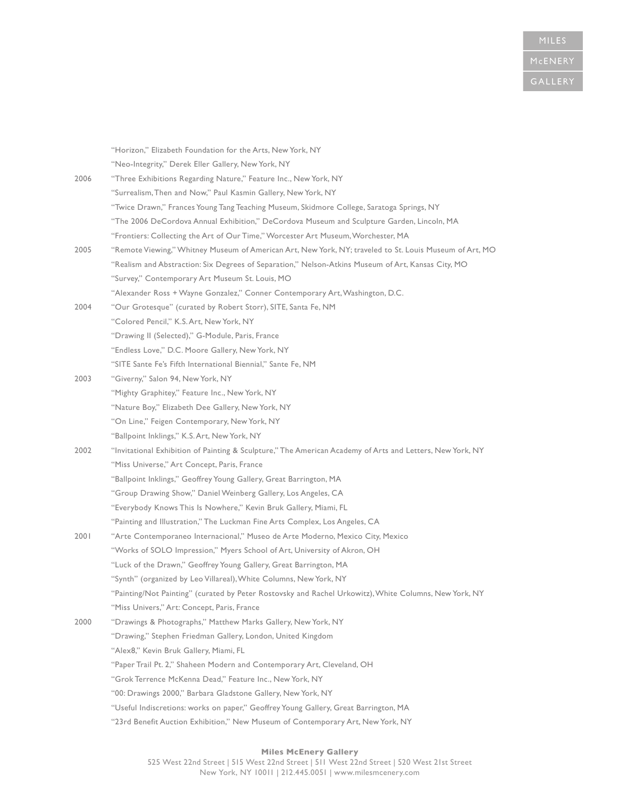|      | "Horizon," Elizabeth Foundation for the Arts, New York, NY                                                |
|------|-----------------------------------------------------------------------------------------------------------|
|      | "Neo-Integrity," Derek Eller Gallery, New York, NY                                                        |
| 2006 | "Three Exhibitions Regarding Nature," Feature Inc., New York, NY                                          |
|      | "Surrealism, Then and Now," Paul Kasmin Gallery, New York, NY                                             |
|      | "Twice Drawn," Frances Young Tang Teaching Museum, Skidmore College, Saratoga Springs, NY                 |
|      | "The 2006 DeCordova Annual Exhibition," DeCordova Museum and Sculpture Garden, Lincoln, MA                |
|      | "Frontiers: Collecting the Art of Our Time," Worcester Art Museum, Worchester, MA                         |
| 2005 | "Remote Viewing," Whitney Museum of American Art, New York, NY; traveled to St. Louis Museum of Art, MO   |
|      | "Realism and Abstraction: Six Degrees of Separation," Nelson-Atkins Museum of Art, Kansas City, MO        |
|      | "Survey," Contemporary Art Museum St. Louis, MO                                                           |
|      | "Alexander Ross + Wayne Gonzalez," Conner Contemporary Art, Washington, D.C.                              |
| 2004 | "Our Grotesque" (curated by Robert Storr), SITE, Santa Fe, NM                                             |
|      | "Colored Pencil," K.S. Art, New York, NY                                                                  |
|      | "Drawing II (Selected)," G-Module, Paris, France                                                          |
|      | "Endless Love," D.C. Moore Gallery, New York, NY                                                          |
|      | "SITE Sante Fe's Fifth International Biennial," Sante Fe, NM                                              |
| 2003 | "Giverny," Salon 94, New York, NY                                                                         |
|      | "Mighty Graphitey," Feature Inc., New York, NY                                                            |
|      | "Nature Boy," Elizabeth Dee Gallery, New York, NY                                                         |
|      | "On Line," Feigen Contemporary, New York, NY                                                              |
|      | "Ballpoint Inklings," K.S. Art, New York, NY                                                              |
| 2002 | "Invitational Exhibition of Painting & Sculpture," The American Academy of Arts and Letters, New York, NY |
|      | "Miss Universe," Art Concept, Paris, France                                                               |
|      | "Ballpoint Inklings," Geoffrey Young Gallery, Great Barrington, MA                                        |
|      | "Group Drawing Show," Daniel Weinberg Gallery, Los Angeles, CA                                            |
|      | "Everybody Knows This Is Nowhere," Kevin Bruk Gallery, Miami, FL                                          |
|      | "Painting and Illustration," The Luckman Fine Arts Complex, Los Angeles, CA                               |
| 2001 | "Arte Contemporaneo Internacional," Museo de Arte Moderno, Mexico City, Mexico                            |
|      | "Works of SOLO Impression," Myers School of Art, University of Akron, OH                                  |
|      | "Luck of the Drawn," Geoffrey Young Gallery, Great Barrington, MA                                         |
|      | "Synth" (organized by Leo Villareal), White Columns, New York, NY                                         |
|      | "Painting/Not Painting" (curated by Peter Rostovsky and Rachel Urkowitz), White Columns, New York, NY     |
|      | "Miss Univers," Art: Concept, Paris, France                                                               |
| 2000 | "Drawings & Photographs," Matthew Marks Gallery, New York, NY                                             |
|      | "Drawing," Stephen Friedman Gallery, London, United Kingdom                                               |
|      | "Alex8," Kevin Bruk Gallery, Miami, FL                                                                    |
|      | "Paper Trail Pt. 2," Shaheen Modern and Contemporary Art, Cleveland, OH                                   |
|      | "Grok Terrence McKenna Dead," Feature Inc., New York, NY                                                  |
|      | "00: Drawings 2000," Barbara Gladstone Gallery, New York, NY                                              |
|      | "Useful Indiscretions: works on paper," Geoffrey Young Gallery, Great Barrington, MA                      |
|      | "23rd Benefit Auction Exhibition," New Museum of Contemporary Art, New York, NY                           |
|      |                                                                                                           |

#### **Miles McEnery Gallery**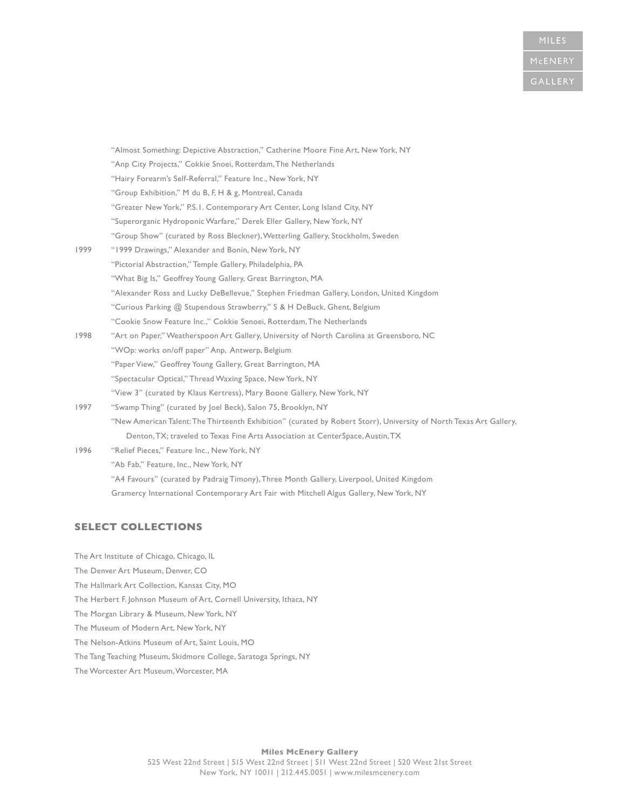|      | "Almost Something: Depictive Abstraction," Catherine Moore Fine Art, New York, NY                                  |
|------|--------------------------------------------------------------------------------------------------------------------|
|      | "Anp City Projects," Cokkie Snoei, Rotterdam, The Netherlands                                                      |
|      | "Hairy Forearm's Self-Referral," Feature Inc., New York, NY                                                        |
|      | "Group Exhibition," M du B, F, H & g, Montreal, Canada                                                             |
|      | "Greater New York," P.S. I. Contemporary Art Center, Long Island City, NY                                          |
|      | "Superorganic Hydroponic Warfare," Derek Eller Gallery, New York, NY                                               |
|      | "Group Show" (curated by Ross Bleckner), Wetterling Gallery, Stockholm, Sweden                                     |
| 1999 | "1999 Drawings," Alexander and Bonin, New York, NY                                                                 |
|      | "Pictorial Abstraction," Temple Gallery, Philadelphia, PA                                                          |
|      | "What Big Is," Geoffrey Young Gallery, Great Barrington, MA                                                        |
|      | "Alexander Ross and Lucky DeBellevue," Stephen Friedman Gallery, London, United Kingdom                            |
|      | "Curious Parking @ Stupendous Strawberry," S & H DeBuck, Ghent, Belgium                                            |
|      | "Cookie Snow Feature Inc.," Cokkie Senoei, Rotterdam, The Netherlands                                              |
| 1998 | "Art on Paper," Weatherspoon Art Gallery, University of North Carolina at Greensboro, NC                           |
|      | "WOp: works on/off paper" Anp, Antwerp, Belgium                                                                    |
|      | "Paper View," Geoffrey Young Gallery, Great Barrington, MA                                                         |
|      | "Spectacular Optical," Thread Waxing Space, New York, NY                                                           |
|      | "View 3" (curated by Klaus Kertress), Mary Boone Gallery, New York, NY                                             |
| 1997 | "Swamp Thing" (curated by Joel Beck), Salon 75, Brooklyn, NY                                                       |
|      | "New American Talent: The Thirteenth Exhibition" (curated by Robert Storr), University of North Texas Art Gallery, |
|      | Denton, TX; traveled to Texas Fine Arts Association at CenterSpace, Austin, TX                                     |
| 1996 | "Relief Pieces," Feature Inc., New York, NY                                                                        |
|      | "Ab Fab," Feature, Inc., New York, NY                                                                              |
|      | "A4 Favours" (curated by Padraig Timony), Three Month Gallery, Liverpool, United Kingdom                           |
|      | Gramercy International Contemporary Art Fair with Mitchell Algus Gallery, New York, NY                             |

# **SELECT COLLECTIONS**

The Art Institute of Chicago, Chicago, IL The Denver Art Museum, Denver, CO The Hallmark Art Collection, Kansas City, MO The Herbert F. Johnson Museum of Art, Cornell University, Ithaca, NY The Morgan Library & Museum, New York, NY The Museum of Modern Art, New York, NY The Nelson-Atkins Museum of Art, Saint Louis, MO The Tang Teaching Museum, Skidmore College, Saratoga Springs, NY The Worcester Art Museum, Worcester, MA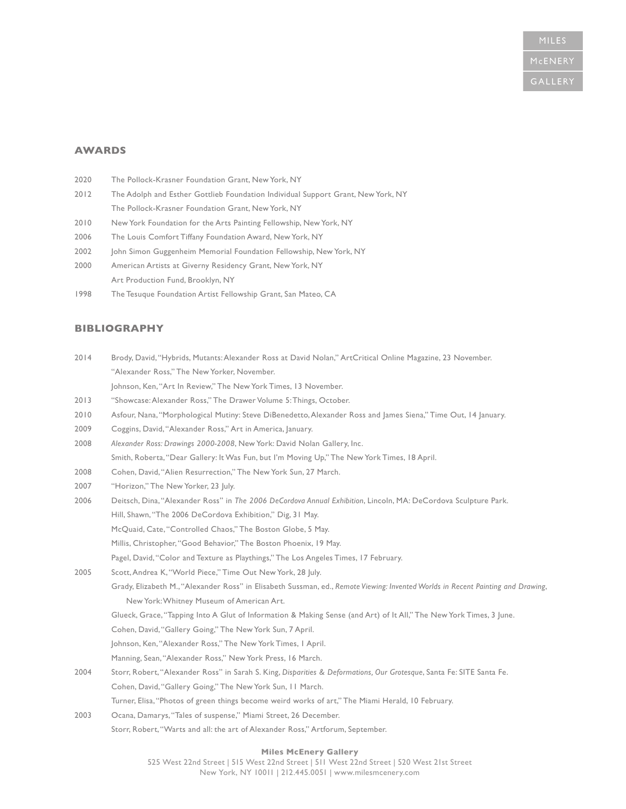## **AWARDS**

- 2020 The Pollock-Krasner Foundation Grant, New York, NY
- 2012 The Adolph and Esther Gottlieb Foundation Individual Support Grant, New York, NY The Pollock-Krasner Foundation Grant, New York, NY
- 2010 New York Foundation for the Arts Painting Fellowship, New York, NY
- 2006 The Louis Comfort Tiffany Foundation Award, New York, NY
- 2002 John Simon Guggenheim Memorial Foundation Fellowship, New York, NY
- 2000 American Artists at Giverny Residency Grant, New York, NY Art Production Fund, Brooklyn, NY
- 1998 The Tesuque Foundation Artist Fellowship Grant, San Mateo, CA

## **BIBLIOGRAPHY**

- 2014 Brody, David, "Hybrids, Mutants: Alexander Ross at David Nolan," ArtCritical Online Magazine, 23 November. "Alexander Ross," The New Yorker, November. Johnson, Ken, "Art In Review," The New York Times, 13 November.
- 2013 "Showcase: Alexander Ross," The Drawer Volume 5: Things, October.
- 2010 Asfour, Nana, "Morphological Mutiny: Steve DiBenedetto, Alexander Ross and James Siena," Time Out, 14 January.
- 2009 Coggins, David, "Alexander Ross," Art in America, January.
- 2008 *Alexander Ross: Drawings 2000-2008*, New York: David Nolan Gallery, Inc. Smith, Roberta, "Dear Gallery: It Was Fun, but I'm Moving Up," The New York Times, 18 April.
- 2008 Cohen, David, "Alien Resurrection," The New York Sun, 27 March.
- 2007 "Horizon," The New Yorker, 23 July.
- 2006 Deitsch, Dina, "Alexander Ross" in *The 2006 DeCordova Annual Exhibition*, Lincoln, MA: DeCordova Sculpture Park. Hill, Shawn, "The 2006 DeCordova Exhibition," Dig, 31 May.
	- McQuaid, Cate, "Controlled Chaos," The Boston Globe, 5 May.
	- Millis, Christopher, "Good Behavior," The Boston Phoenix, 19 May.
	- Pagel, David, "Color and Texture as Playthings," The Los Angeles Times, 17 February.
- 2005 Scott, Andrea K, "World Piece," Time Out New York, 28 July.

Grady, Elizabeth M., "Alexander Ross" in Elisabeth Sussman, ed., *Remote Viewing: Invented Worlds in Recent Painting and Drawing*, New York: Whitney Museum of American Art.

Glueck, Grace, "Tapping Into A Glut of Information & Making Sense (and Art) of It All," The New York Times, 3 June.

- Cohen, David, "Gallery Going," The New York Sun, 7 April.
- Johnson, Ken, "Alexander Ross," The New York Times, 1 April.
- Manning, Sean, "Alexander Ross," New York Press, 16 March.
- 2004 Storr, Robert, "Alexander Ross" in Sarah S. King, *Disparities & Deformations, Our Grotesque*, Santa Fe: SITE Santa Fe. Cohen, David, "Gallery Going," The New York Sun, 11 March. Turner, Elisa, "Photos of green things become weird works of art," The Miami Herald, 10 February.
- 2003 Ocana, Damarys, "Tales of suspense," Miami Street, 26 December. Storr, Robert, "Warts and all: the art of Alexander Ross," Artforum, September.

#### **Miles McEnery Gallery**